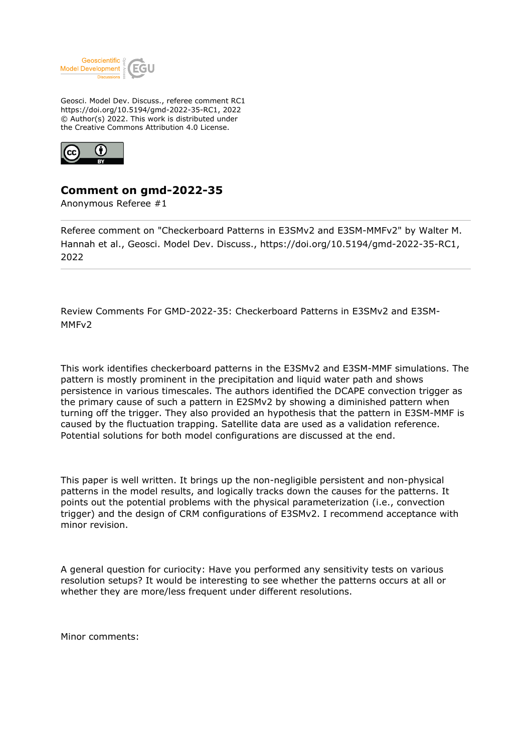

Geosci. Model Dev. Discuss., referee comment RC1 https://doi.org/10.5194/gmd-2022-35-RC1, 2022 © Author(s) 2022. This work is distributed under the Creative Commons Attribution 4.0 License.



## **Comment on gmd-2022-35**

Anonymous Referee #1

Referee comment on "Checkerboard Patterns in E3SMv2 and E3SM-MMFv2" by Walter M. Hannah et al., Geosci. Model Dev. Discuss., https://doi.org/10.5194/gmd-2022-35-RC1, 2022

Review Comments For GMD-2022-35: Checkerboard Patterns in E3SMv2 and E3SM-MMFv2

This work identifies checkerboard patterns in the E3SMv2 and E3SM-MMF simulations. The pattern is mostly prominent in the precipitation and liquid water path and shows persistence in various timescales. The authors identified the DCAPE convection trigger as the primary cause of such a pattern in E2SMv2 by showing a diminished pattern when turning off the trigger. They also provided an hypothesis that the pattern in E3SM-MMF is caused by the fluctuation trapping. Satellite data are used as a validation reference. Potential solutions for both model configurations are discussed at the end.

This paper is well written. It brings up the non-negligible persistent and non-physical patterns in the model results, and logically tracks down the causes for the patterns. It points out the potential problems with the physical parameterization (i.e., convection trigger) and the design of CRM configurations of E3SMv2. I recommend acceptance with minor revision.

A general question for curiocity: Have you performed any sensitivity tests on various resolution setups? It would be interesting to see whether the patterns occurs at all or whether they are more/less frequent under different resolutions.

Minor comments: